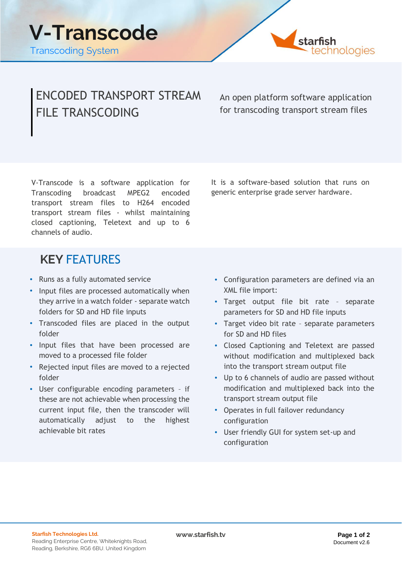

## ENCODED TRANSPORT STREAM FILE TRANSCODING

An open platform software application for transcoding transport stream files

V-Transcode is a software application for Transcoding broadcast MPEG2 encoded transport stream files to H264 encoded transport stream files - whilst maintaining closed captioning, Teletext and up to 6 channels of audio.

It is a software-based solution that runs on generic enterprise grade server hardware.

## **KEY** FEATURES

- **•** Runs as a fully automated service
- **•** Input files are processed automatically when they arrive in a watch folder - separate watch folders for SD and HD file inputs
- **•** Transcoded files are placed in the output folder
- **•** Input files that have been processed are moved to a processed file folder
- **•** Rejected input files are moved to a rejected folder
- **•** User configurable encoding parameters if these are not achievable when processing the current input file, then the transcoder will automatically adjust to the highest achievable bit rates
- **•** Configuration parameters are defined via an XML file import:
- **•** Target output file bit rate separate parameters for SD and HD file inputs
- **•** Target video bit rate separate parameters for SD and HD files
- **•** Closed Captioning and Teletext are passed without modification and multiplexed back into the transport stream output file
- **•** Up to 6 channels of audio are passed without modification and multiplexed back into the transport stream output file
- **•** Operates in full failover redundancy configuration
- **•** User friendly GUI for system set-up and configuration